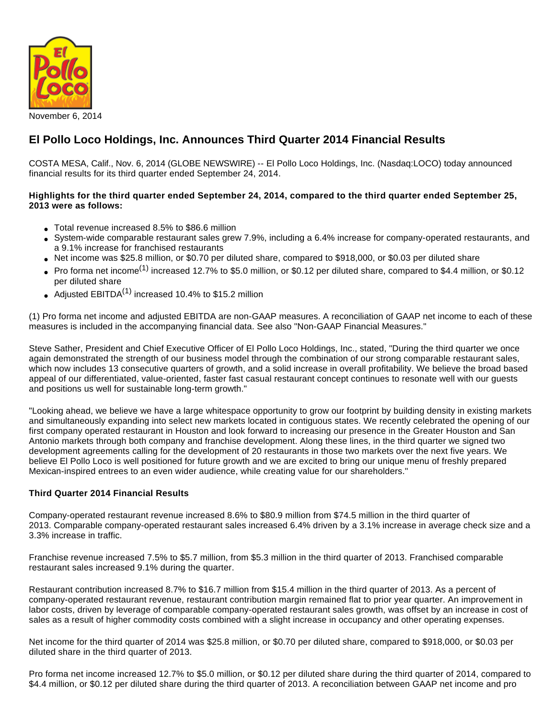

# **El Pollo Loco Holdings, Inc. Announces Third Quarter 2014 Financial Results**

COSTA MESA, Calif., Nov. 6, 2014 (GLOBE NEWSWIRE) -- El Pollo Loco Holdings, Inc. (Nasdaq:LOCO) today announced financial results for its third quarter ended September 24, 2014.

#### **Highlights for the third quarter ended September 24, 2014, compared to the third quarter ended September 25, 2013 were as follows:**

- Total revenue increased 8.5% to \$86.6 million
- System-wide comparable restaurant sales grew 7.9%, including a 6.4% increase for company-operated restaurants, and a 9.1% increase for franchised restaurants
- Net income was \$25.8 million, or \$0.70 per diluted share, compared to \$918,000, or \$0.03 per diluted share
- $\bullet~$  Pro forma net income<sup>(1)</sup> increased 12.7% to \$5.0 million, or \$0.12 per diluted share, compared to \$4.4 million, or \$0.12 per diluted share
- Adjusted  $EBITDA<sup>(1)</sup>$  increased 10.4% to \$15.2 million

(1) Pro forma net income and adjusted EBITDA are non-GAAP measures. A reconciliation of GAAP net income to each of these measures is included in the accompanying financial data. See also "Non-GAAP Financial Measures."

Steve Sather, President and Chief Executive Officer of El Pollo Loco Holdings, Inc., stated, "During the third quarter we once again demonstrated the strength of our business model through the combination of our strong comparable restaurant sales, which now includes 13 consecutive quarters of growth, and a solid increase in overall profitability. We believe the broad based appeal of our differentiated, value-oriented, faster fast casual restaurant concept continues to resonate well with our guests and positions us well for sustainable long-term growth."

"Looking ahead, we believe we have a large whitespace opportunity to grow our footprint by building density in existing markets and simultaneously expanding into select new markets located in contiguous states. We recently celebrated the opening of our first company operated restaurant in Houston and look forward to increasing our presence in the Greater Houston and San Antonio markets through both company and franchise development. Along these lines, in the third quarter we signed two development agreements calling for the development of 20 restaurants in those two markets over the next five years. We believe El Pollo Loco is well positioned for future growth and we are excited to bring our unique menu of freshly prepared Mexican-inspired entrees to an even wider audience, while creating value for our shareholders."

#### **Third Quarter 2014 Financial Results**

Company-operated restaurant revenue increased 8.6% to \$80.9 million from \$74.5 million in the third quarter of 2013. Comparable company-operated restaurant sales increased 6.4% driven by a 3.1% increase in average check size and a 3.3% increase in traffic.

Franchise revenue increased 7.5% to \$5.7 million, from \$5.3 million in the third quarter of 2013. Franchised comparable restaurant sales increased 9.1% during the quarter.

Restaurant contribution increased 8.7% to \$16.7 million from \$15.4 million in the third quarter of 2013. As a percent of company-operated restaurant revenue, restaurant contribution margin remained flat to prior year quarter. An improvement in labor costs, driven by leverage of comparable company-operated restaurant sales growth, was offset by an increase in cost of sales as a result of higher commodity costs combined with a slight increase in occupancy and other operating expenses.

Net income for the third quarter of 2014 was \$25.8 million, or \$0.70 per diluted share, compared to \$918,000, or \$0.03 per diluted share in the third quarter of 2013.

Pro forma net income increased 12.7% to \$5.0 million, or \$0.12 per diluted share during the third quarter of 2014, compared to \$4.4 million, or \$0.12 per diluted share during the third quarter of 2013. A reconciliation between GAAP net income and pro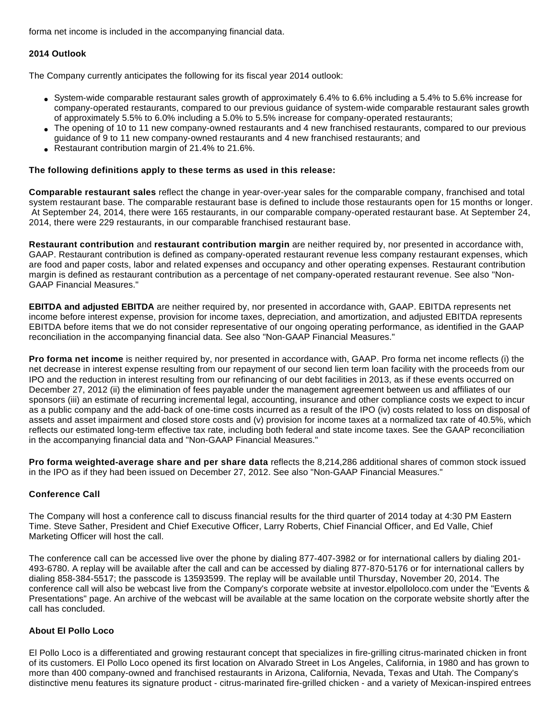forma net income is included in the accompanying financial data.

## **2014 Outlook**

The Company currently anticipates the following for its fiscal year 2014 outlook:

- System-wide comparable restaurant sales growth of approximately 6.4% to 6.6% including a 5.4% to 5.6% increase for company-operated restaurants, compared to our previous guidance of system-wide comparable restaurant sales growth of approximately 5.5% to 6.0% including a 5.0% to 5.5% increase for company-operated restaurants;
- The opening of 10 to 11 new company-owned restaurants and 4 new franchised restaurants, compared to our previous guidance of 9 to 11 new company-owned restaurants and 4 new franchised restaurants; and
- Restaurant contribution margin of 21.4% to 21.6%.

### **The following definitions apply to these terms as used in this release:**

**Comparable restaurant sales** reflect the change in year-over-year sales for the comparable company, franchised and total system restaurant base. The comparable restaurant base is defined to include those restaurants open for 15 months or longer. At September 24, 2014, there were 165 restaurants, in our comparable company-operated restaurant base. At September 24, 2014, there were 229 restaurants, in our comparable franchised restaurant base.

**Restaurant contribution** and **restaurant contribution margin** are neither required by, nor presented in accordance with, GAAP. Restaurant contribution is defined as company-operated restaurant revenue less company restaurant expenses, which are food and paper costs, labor and related expenses and occupancy and other operating expenses. Restaurant contribution margin is defined as restaurant contribution as a percentage of net company-operated restaurant revenue. See also "Non-GAAP Financial Measures."

**EBITDA and adjusted EBITDA** are neither required by, nor presented in accordance with, GAAP. EBITDA represents net income before interest expense, provision for income taxes, depreciation, and amortization, and adjusted EBITDA represents EBITDA before items that we do not consider representative of our ongoing operating performance, as identified in the GAAP reconciliation in the accompanying financial data. See also "Non-GAAP Financial Measures."

**Pro forma net income** is neither required by, nor presented in accordance with, GAAP. Pro forma net income reflects (i) the net decrease in interest expense resulting from our repayment of our second lien term loan facility with the proceeds from our IPO and the reduction in interest resulting from our refinancing of our debt facilities in 2013, as if these events occurred on December 27, 2012 (ii) the elimination of fees payable under the management agreement between us and affiliates of our sponsors (iii) an estimate of recurring incremental legal, accounting, insurance and other compliance costs we expect to incur as a public company and the add-back of one-time costs incurred as a result of the IPO (iv) costs related to loss on disposal of assets and asset impairment and closed store costs and (v) provision for income taxes at a normalized tax rate of 40.5%, which reflects our estimated long-term effective tax rate, including both federal and state income taxes. See the GAAP reconciliation in the accompanying financial data and "Non-GAAP Financial Measures."

**Pro forma weighted-average share and per share data** reflects the 8,214,286 additional shares of common stock issued in the IPO as if they had been issued on December 27, 2012. See also "Non-GAAP Financial Measures."

## **Conference Call**

The Company will host a conference call to discuss financial results for the third quarter of 2014 today at 4:30 PM Eastern Time. Steve Sather, President and Chief Executive Officer, Larry Roberts, Chief Financial Officer, and Ed Valle, Chief Marketing Officer will host the call.

The conference call can be accessed live over the phone by dialing 877-407-3982 or for international callers by dialing 201- 493-6780. A replay will be available after the call and can be accessed by dialing 877-870-5176 or for international callers by dialing 858-384-5517; the passcode is 13593599. The replay will be available until Thursday, November 20, 2014. The conference call will also be webcast live from the Company's corporate website at investor.elpolloloco.com under the "Events & Presentations" page. An archive of the webcast will be available at the same location on the corporate website shortly after the call has concluded.

#### **About El Pollo Loco**

El Pollo Loco is a differentiated and growing restaurant concept that specializes in fire-grilling citrus-marinated chicken in front of its customers. El Pollo Loco opened its first location on Alvarado Street in Los Angeles, California, in 1980 and has grown to more than 400 company-owned and franchised restaurants in Arizona, California, Nevada, Texas and Utah. The Company's distinctive menu features its signature product - citrus-marinated fire-grilled chicken - and a variety of Mexican-inspired entrees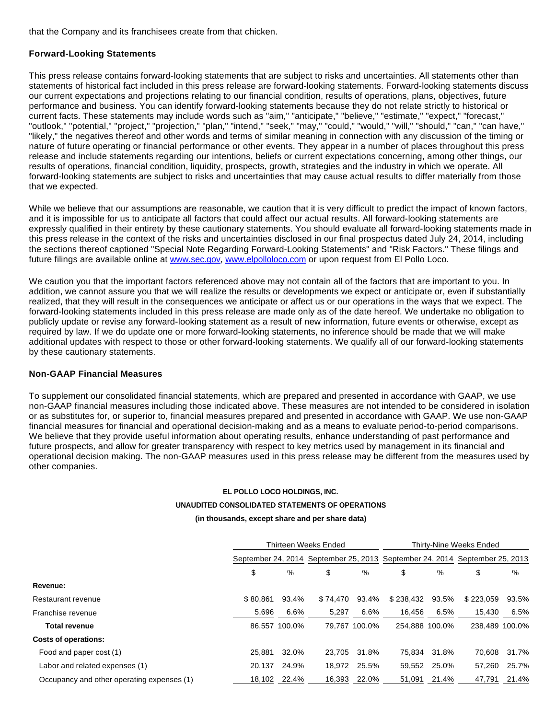that the Company and its franchisees create from that chicken.

#### **Forward-Looking Statements**

This press release contains forward-looking statements that are subject to risks and uncertainties. All statements other than statements of historical fact included in this press release are forward-looking statements. Forward-looking statements discuss our current expectations and projections relating to our financial condition, results of operations, plans, objectives, future performance and business. You can identify forward-looking statements because they do not relate strictly to historical or current facts. These statements may include words such as "aim," "anticipate," "believe," "estimate," "expect," "forecast," "outlook," "potential," "project," "projection," "plan," "intend," "seek," "may," "could," "would," "will," "should," "can," "can have," "likely," the negatives thereof and other words and terms of similar meaning in connection with any discussion of the timing or nature of future operating or financial performance or other events. They appear in a number of places throughout this press release and include statements regarding our intentions, beliefs or current expectations concerning, among other things, our results of operations, financial condition, liquidity, prospects, growth, strategies and the industry in which we operate. All forward-looking statements are subject to risks and uncertainties that may cause actual results to differ materially from those that we expected.

While we believe that our assumptions are reasonable, we caution that it is very difficult to predict the impact of known factors, and it is impossible for us to anticipate all factors that could affect our actual results. All forward-looking statements are expressly qualified in their entirety by these cautionary statements. You should evaluate all forward-looking statements made in this press release in the context of the risks and uncertainties disclosed in our final prospectus dated July 24, 2014, including the sections thereof captioned "Special Note Regarding Forward-Looking Statements" and "Risk Factors." These filings and future filings are available online at [www.sec.gov,](http://www.globenewswire.com/newsroom/ctr?d=10106888&l=27&a=www.sec.gov&u=http%3A%2F%2Fwww.sec.gov) [www.elpolloloco.com](http://www.globenewswire.com/newsroom/ctr?d=10106888&l=27&a=www.elpolloloco.com&u=http%3A%2F%2Fwww.elpolloloco.com) or upon request from El Pollo Loco.

We caution you that the important factors referenced above may not contain all of the factors that are important to you. In addition, we cannot assure you that we will realize the results or developments we expect or anticipate or, even if substantially realized, that they will result in the consequences we anticipate or affect us or our operations in the ways that we expect. The forward-looking statements included in this press release are made only as of the date hereof. We undertake no obligation to publicly update or revise any forward-looking statement as a result of new information, future events or otherwise, except as required by law. If we do update one or more forward-looking statements, no inference should be made that we will make additional updates with respect to those or other forward-looking statements. We qualify all of our forward-looking statements by these cautionary statements.

#### **Non-GAAP Financial Measures**

To supplement our consolidated financial statements, which are prepared and presented in accordance with GAAP, we use non-GAAP financial measures including those indicated above. These measures are not intended to be considered in isolation or as substitutes for, or superior to, financial measures prepared and presented in accordance with GAAP. We use non-GAAP financial measures for financial and operational decision-making and as a means to evaluate period-to-period comparisons. We believe that they provide useful information about operating results, enhance understanding of past performance and future prospects, and allow for greater transparency with respect to key metrics used by management in its financial and operational decision making. The non-GAAP measures used in this press release may be different from the measures used by other companies.

#### **EL POLLO LOCO HOLDINGS, INC.**

#### **UNAUDITED CONSOLIDATED STATEMENTS OF OPERATIONS**

#### **(in thousands, except share and per share data)**

|                                            | <b>Thirteen Weeks Ended</b>                                                 |               |          | Thirty-Nine Weeks Ended |                |       |                |       |
|--------------------------------------------|-----------------------------------------------------------------------------|---------------|----------|-------------------------|----------------|-------|----------------|-------|
|                                            | September 24, 2014 September 25, 2013 September 24, 2014 September 25, 2013 |               |          |                         |                |       |                |       |
|                                            | \$                                                                          | %             | \$       | %                       | \$             | %     | \$             | %     |
| Revenue:                                   |                                                                             |               |          |                         |                |       |                |       |
| Restaurant revenue                         | \$80.861                                                                    | 93.4%         | \$74.470 | 93.4%                   | \$238.432      | 93.5% | \$223.059      | 93.5% |
| Franchise revenue                          | 5,696                                                                       | 6.6%          | 5,297    | 6.6%                    | 16.456         | 6.5%  | 15,430         | 6.5%  |
| <b>Total revenue</b>                       |                                                                             | 86.557 100.0% |          | 79,767 100.0%           | 254.888 100.0% |       | 238.489 100.0% |       |
| <b>Costs of operations:</b>                |                                                                             |               |          |                         |                |       |                |       |
| Food and paper cost (1)                    | 25.881                                                                      | 32.0%         |          | 23.705 31.8%            | 75.834         | 31.8% | 70.608         | 31.7% |
| Labor and related expenses (1)             | 20.137                                                                      | 24.9%         | 18.972   | 25.5%                   | 59,552         | 25.0% | 57,260         | 25.7% |
| Occupancy and other operating expenses (1) |                                                                             | 18,102 22.4%  | 16,393   | 22.0%                   | 51.091         | 21.4% | 47,791         | 21.4% |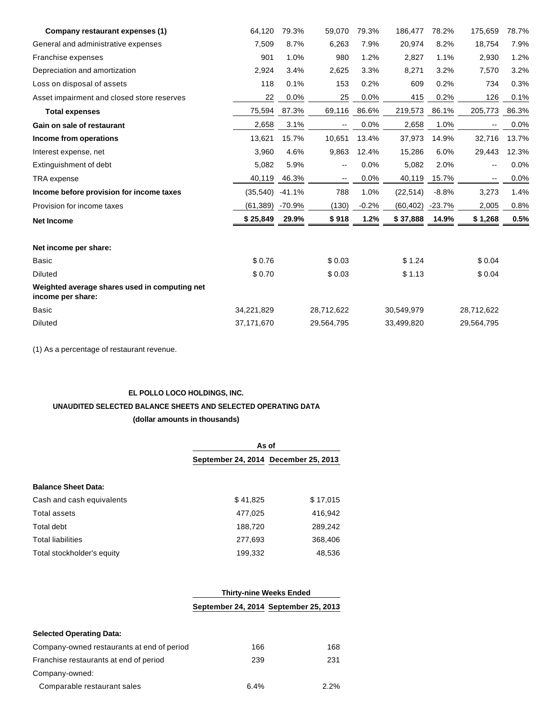| Company restaurant expenses (1)                                    | 64,120     | 79.3%    | 59,070     | 79.3%   | 186,477    | 78.2%    | 175,659    | 78.7% |
|--------------------------------------------------------------------|------------|----------|------------|---------|------------|----------|------------|-------|
| General and administrative expenses                                | 7,509      | 8.7%     | 6,263      | 7.9%    | 20,974     | 8.2%     | 18,754     | 7.9%  |
| Franchise expenses                                                 | 901        | 1.0%     | 980        | 1.2%    | 2,827      | 1.1%     | 2,930      | 1.2%  |
| Depreciation and amortization                                      | 2,924      | 3.4%     | 2,625      | 3.3%    | 8,271      | 3.2%     | 7,570      | 3.2%  |
| Loss on disposal of assets                                         | 118        | 0.1%     | 153        | 0.2%    | 609        | 0.2%     | 734        | 0.3%  |
| Asset impairment and closed store reserves                         | 22         | 0.0%     | 25         | 0.0%    | 415        | 0.2%     | 126        | 0.1%  |
| <b>Total expenses</b>                                              | 75,594     | 87.3%    | 69,116     | 86.6%   | 219,573    | 86.1%    | 205,773    | 86.3% |
| Gain on sale of restaurant                                         | 2,658      | 3.1%     | $-$        | 0.0%    | 2,658      | 1.0%     | --         | 0.0%  |
| Income from operations                                             | 13,621     | 15.7%    | 10,651     | 13.4%   | 37,973     | 14.9%    | 32,716     | 13.7% |
| Interest expense, net                                              | 3,960      | 4.6%     | 9,863      | 12.4%   | 15,286     | 6.0%     | 29,443     | 12.3% |
| Extinguishment of debt                                             | 5,082      | 5.9%     | --         | 0.0%    | 5,082      | 2.0%     | -−         | 0.0%  |
| TRA expense                                                        | 40,119     | 46.3%    | --         | 0.0%    | 40,119     | 15.7%    | --         | 0.0%  |
| Income before provision for income taxes                           | (35,540)   | $-41.1%$ | 788        | 1.0%    | (22, 514)  | $-8.8%$  | 3,273      | 1.4%  |
| Provision for income taxes                                         | (61, 389)  | $-70.9%$ | (130)      | $-0.2%$ | (60, 402)  | $-23.7%$ | 2,005      | 0.8%  |
| <b>Net Income</b>                                                  | \$25,849   | 29.9%    | \$918      | 1.2%    | \$37,888   | 14.9%    | \$1,268    | 0.5%  |
| Net income per share:                                              |            |          |            |         |            |          |            |       |
| <b>Basic</b>                                                       | \$0.76     |          | \$0.03     |         | \$1.24     |          | \$0.04     |       |
| <b>Diluted</b>                                                     | \$0.70     |          | \$0.03     |         | \$1.13     |          | \$0.04     |       |
| Weighted average shares used in computing net<br>income per share: |            |          |            |         |            |          |            |       |
| <b>Basic</b>                                                       | 34,221,829 |          | 28,712,622 |         | 30,549,979 |          | 28,712,622 |       |
| <b>Diluted</b>                                                     | 37,171,670 |          | 29,564,795 |         | 33,499,820 |          | 29,564,795 |       |

(1) As a percentage of restaurant revenue.

### **EL POLLO LOCO HOLDINGS, INC.**

# **UNAUDITED SELECTED BALANCE SHEETS AND SELECTED OPERATING DATA**

## **(dollar amounts in thousands)**

|                            | As of                                |          |  |  |  |
|----------------------------|--------------------------------------|----------|--|--|--|
|                            | September 24, 2014 December 25, 2013 |          |  |  |  |
| <b>Balance Sheet Data:</b> |                                      |          |  |  |  |
| Cash and cash equivalents  | \$41,825                             | \$17,015 |  |  |  |
| Total assets               | 477,025                              | 416,942  |  |  |  |
| Total debt                 | 188,720                              | 289,242  |  |  |  |
| <b>Total liabilities</b>   | 277,693                              | 368,406  |  |  |  |
| Total stockholder's equity | 199,332                              | 48,536   |  |  |  |

|                                            | <b>Thirty-nine Weeks Ended</b> |                                       |  |  |  |  |
|--------------------------------------------|--------------------------------|---------------------------------------|--|--|--|--|
|                                            |                                | September 24, 2014 September 25, 2013 |  |  |  |  |
| <b>Selected Operating Data:</b>            |                                |                                       |  |  |  |  |
| Company-owned restaurants at end of period | 166                            | 168                                   |  |  |  |  |
| Franchise restaurants at end of period     | 239                            | 231                                   |  |  |  |  |
| Company-owned:                             |                                |                                       |  |  |  |  |
| Comparable restaurant sales                | 6.4%                           | 2.2%                                  |  |  |  |  |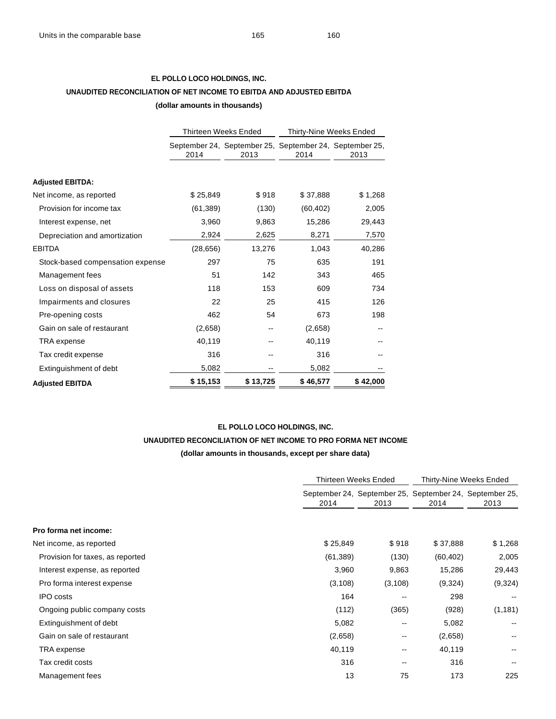## **EL POLLO LOCO HOLDINGS, INC. UNAUDITED RECONCILIATION OF NET INCOME TO EBITDA AND ADJUSTED EBITDA (dollar amounts in thousands)**

|                                  |           | <b>Thirteen Weeks Ended</b> | Thirty-Nine Weeks Ended |                                                                 |  |
|----------------------------------|-----------|-----------------------------|-------------------------|-----------------------------------------------------------------|--|
|                                  | 2014      | 2013                        | 2014                    | September 24, September 25, September 24, September 25,<br>2013 |  |
| <b>Adjusted EBITDA:</b>          |           |                             |                         |                                                                 |  |
| Net income, as reported          | \$25,849  | \$918                       | \$37,888                | \$1,268                                                         |  |
| Provision for income tax         | (61, 389) | (130)                       | (60, 402)               | 2,005                                                           |  |
| Interest expense, net            | 3,960     | 9,863                       | 15,286                  | 29,443                                                          |  |
| Depreciation and amortization    | 2,924     | 2,625                       | 8,271                   | 7,570                                                           |  |
| <b>EBITDA</b>                    | (28, 656) | 13,276                      | 1,043                   | 40,286                                                          |  |
| Stock-based compensation expense | 297       | 75                          | 635                     | 191                                                             |  |
| Management fees                  | 51        | 142                         | 343                     | 465                                                             |  |
| Loss on disposal of assets       | 118       | 153                         | 609                     | 734                                                             |  |
| Impairments and closures         | 22        | 25                          | 415                     | 126                                                             |  |
| Pre-opening costs                | 462       | 54                          | 673                     | 198                                                             |  |
| Gain on sale of restaurant       | (2,658)   | --                          | (2,658)                 |                                                                 |  |
| TRA expense                      | 40,119    |                             | 40,119                  |                                                                 |  |
| Tax credit expense               | 316       |                             | 316                     |                                                                 |  |
| Extinguishment of debt           | 5,082     |                             | 5,082                   |                                                                 |  |
| <b>Adiusted EBITDA</b>           | \$15,153  | \$13,725                    | \$46,577                | \$42,000                                                        |  |

## **EL POLLO LOCO HOLDINGS, INC. UNAUDITED RECONCILIATION OF NET INCOME TO PRO FORMA NET INCOME (dollar amounts in thousands, except per share data)**

|                                  |           | Thirteen Weeks Ended |           | Thirty-Nine Weeks Ended                                         |  |  |
|----------------------------------|-----------|----------------------|-----------|-----------------------------------------------------------------|--|--|
|                                  | 2014      | 2013                 | 2014      | September 24, September 25, September 24, September 25,<br>2013 |  |  |
| Pro forma net income:            |           |                      |           |                                                                 |  |  |
| Net income, as reported          | \$25,849  | \$918                | \$37,888  | \$1,268                                                         |  |  |
| Provision for taxes, as reported | (61, 389) | (130)                | (60, 402) | 2,005                                                           |  |  |
| Interest expense, as reported    | 3,960     | 9,863                | 15,286    | 29,443                                                          |  |  |
| Pro forma interest expense       | (3, 108)  | (3, 108)             | (9,324)   | (9,324)                                                         |  |  |
| <b>IPO</b> costs                 | 164       | $- -$                | 298       |                                                                 |  |  |
| Ongoing public company costs     | (112)     | (365)                | (928)     | (1, 181)                                                        |  |  |
| Extinguishment of debt           | 5,082     | --                   | 5,082     |                                                                 |  |  |
| Gain on sale of restaurant       | (2,658)   | --                   | (2,658)   |                                                                 |  |  |
| TRA expense                      | 40,119    | --                   | 40,119    |                                                                 |  |  |
| Tax credit costs                 | 316       | $- -$                | 316       |                                                                 |  |  |
| Management fees                  | 13        | 75                   | 173       | 225                                                             |  |  |